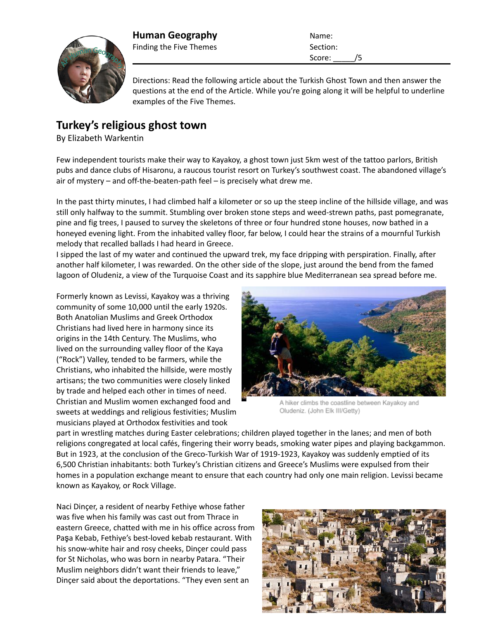## **Human Geography** Name:



Finding the Five Themes Section:

Score: \_\_\_\_\_/5

Directions: Read the following article about the Turkish Ghost Town and then answer the questions at the end of the Article. While you're going along it will be helpful to underline examples of the Five Themes.

## **Turkey's religious ghost town**

By Elizabeth Warkentin

Few independent tourists make their way to Kayakoy, a ghost town just 5km west of the tattoo parlors, British pubs and dance clubs of Hisaronu, a raucous tourist resort on Turkey's southwest coast. The abandoned village's air of mystery – and off-the-beaten-path feel – is precisely what drew me.

In the past thirty minutes, I had climbed half a kilometer or so up the steep incline of the hillside village, and was still only halfway to the summit. Stumbling over broken stone steps and weed-strewn paths, past pomegranate, pine and fig trees, I paused to survey the skeletons of three or four hundred stone houses, now bathed in a honeyed evening light. From the inhabited valley floor, far below, I could hear the strains of a mournful Turkish melody that recalled ballads I had heard in [Greece.](http://www.bbc.com/travel/europe/greece?lc=int_mb_1001)

I sipped the last of my water and continued the upward trek, my face dripping with perspiration. Finally, after another half kilometer, I was rewarded. On the other side of the slope, just around the bend from the famed lagoon of Oludeniz, a view of the Turquoise Coast and its sapphire blue Mediterranean sea spread before me.

Formerly known as Levissi, Kayakoy was a thriving community of some 10,000 until the early 1920s. Both Anatolian Muslims and Greek Orthodox Christians had lived here in harmony since its origins in the 14th Century. The Muslims, who lived on the surrounding valley floor of the Kaya ("Rock") Valley, tended to be farmers, while the Christians, who inhabited the hillside, were mostly artisans; the two communities were closely linked by trade and helped each other in times of need. Christian and Muslim women exchanged food and sweets at weddings and religious festivities; Muslim musicians played at Orthodox festivities and took



A hiker climbs the coastline between Kayakoy and Oludeniz. (John Elk III/Getty)

part in wrestling matches during Easter celebrations; children played together in the lanes; and men of both religions congregated at local cafés, fingering their worry beads, smoking water pipes and playing backgammon. But in 1923, at the conclusion of the Greco-Turkish War of 1919-1923, Kayakoy was suddenly emptied of its 6,500 Christian inhabitants: both Turkey's Christian citizens and Greece's Muslims were expulsed from their homes in a population exchange meant to ensure that each country had only one main religion. Levissi became known as Kayakoy, or Rock Village.

Naci Dinçer, a resident of nearby Fethiye whose father was five when his family was cast out from Thrace in eastern Greece, chatted with me in his office across from Paşa Kebab, Fethiye's best-loved kebab restaurant. With his snow-white hair and rosy cheeks, Dinçer could pass for St Nicholas, who was born in nearby Patara. "Their Muslim neighbors didn't want their friends to leave," Dinçer said about the deportations. "They even sent an

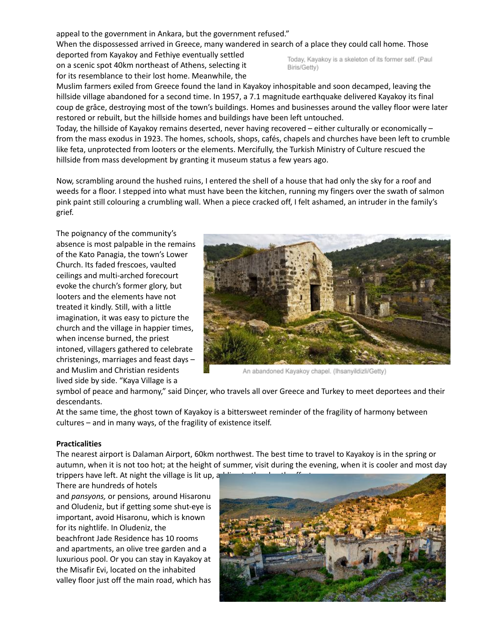appeal to the government in Ankara, but the government refused."

When the dispossessed arrived in Greece, many wandered in search of a place they could call home. Those deported from Kayakoy and Fethiye eventually settled Today, Kayakoy is a skeleton of its former self. (Paul on a scenic spot 40km northeast of Athens, selecting it Biris/Getty) for its resemblance to their lost home. Meanwhile, the

Muslim farmers exiled from Greece found the land in Kayakoy inhospitable and soon decamped, leaving the hillside village abandoned for a second time. In 1957, a 7.1 magnitude earthquake delivered Kayakoy its final coup de grâce, destroying most of the town's buildings. Homes and businesses around the valley floor were later restored or rebuilt, but the hillside homes and buildings have been left untouched.

Today, the hillside of Kayakoy remains deserted, never having recovered – either culturally or economically – from the mass exodus in 1923. The homes, schools, shops, cafés, chapels and churches have been left to crumble like feta, unprotected from looters or the elements. Mercifully, the Turkish Ministry of Culture rescued the hillside from mass development by granting it museum status a few years ago.

Now, scrambling around the hushed ruins, I entered the shell of a house that had only the sky for a roof and weeds for a floor. I stepped into what must have been the kitchen, running my fingers over the swath of salmon pink paint still colouring a crumbling wall. When a piece cracked off, I felt ashamed, an intruder in the family's grief.

The poignancy of the community's absence is most palpable in the remains of the Kato Panagia, the town's Lower Church. Its faded frescoes, vaulted ceilings and multi-arched forecourt evoke the church's former glory, but looters and the elements have not treated it kindly. Still, with a little imagination, it was easy to picture the church and the village in happier times, when incense burned, the priest intoned, villagers gathered to celebrate christenings, marriages and feast days – and Muslim and Christian residents lived side by side. "Kaya Village is a



An abandoned Kayakoy chapel. (Ihsanyildizli/Getty)

symbol of peace and harmony," said Dinçer, who travels all over [Greece](http://www.bbc.com/travel/europe/greece?lc=int_mb_1001) and [Turkey](http://www.bbc.com/travel/europe/turkey?lc=int_mb_1001) to meet deportees and their descendants.

At the same time, the ghost town of Kayakoy is a bittersweet reminder of the fragility of harmony between cultures – and in many ways, of the fragility of existence itself.

## **Practicalities**

The nearest airport is Dalaman Airport, 60km northwest. The best time to travel to Kayakoy is in the spring or autumn, when it is not too hot; at the height of summer, visit during the evening, when it is cooler and most day trippers have left. At night the village is lit up, a

There are hundreds of hotels and *pansyons,* or pensions*,* around Hisaronu and Oludeniz, but if getting some shut-eye is important, avoid Hisaronu, which is known for its nightlife. In Oludeniz, the beachfront Jade [Residence](http://jade-residence.com/) has 10 rooms and apartments, an olive tree garden and a luxurious pool. Or you can stay in Kayakoy at the [Misafir](http://www.kayamisafirevi.com/index-eng.html) Evi, located on the inhabited valley floor just off the main road, which has